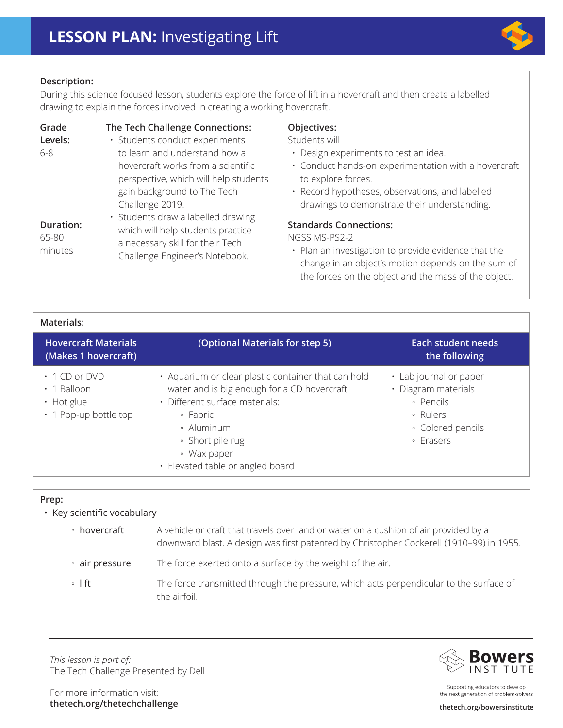

## **Description:**

During this science focused lesson, students explore the force of lift in a hovercraft and then create a labelled drawing to explain the forces involved in creating a working hovercraft.

| Grade<br>Levels:<br>$6 - 8$          | The Tech Challenge Connections:<br>· Students conduct experiments<br>to learn and understand how a<br>hovercraft works from a scientific<br>perspective, which will help students<br>gain background to The Tech<br>Challenge 2019.<br>· Students draw a labelled drawing<br>which will help students practice<br>a necessary skill for their Tech<br>Challenge Engineer's Notebook. | Objectives:<br>Students will<br>Design experiments to test an idea.<br>$\bullet$<br>· Conduct hands-on experimentation with a hovercraft<br>to explore forces.<br>· Record hypotheses, observations, and labelled<br>drawings to demonstrate their understanding. |
|--------------------------------------|--------------------------------------------------------------------------------------------------------------------------------------------------------------------------------------------------------------------------------------------------------------------------------------------------------------------------------------------------------------------------------------|-------------------------------------------------------------------------------------------------------------------------------------------------------------------------------------------------------------------------------------------------------------------|
| <b>Duration:</b><br>65-80<br>minutes |                                                                                                                                                                                                                                                                                                                                                                                      | <b>Standards Connections:</b><br>NGSS MS-PS2-2<br>• Plan an investigation to provide evidence that the<br>change in an object's motion depends on the sum of<br>the forces on the object and the mass of the object.                                              |

| Materials:                                                                            |                                                                                                                                                                                                                                       |                                                                                                          |  |  |
|---------------------------------------------------------------------------------------|---------------------------------------------------------------------------------------------------------------------------------------------------------------------------------------------------------------------------------------|----------------------------------------------------------------------------------------------------------|--|--|
| <b>Hovercraft Materials</b><br>(Makes 1 hovercraft)                                   | (Optional Materials for step 5)                                                                                                                                                                                                       | <b>Each student needs</b><br>the following                                                               |  |  |
| $\cdot$ 1 CD or DVD<br>$\cdot$ 1 Balloon<br>• Hot glue<br>$\cdot$ 1 Pop-up bottle top | • Aquarium or clear plastic container that can hold<br>water and is big enough for a CD hovercraft<br>· Different surface materials:<br>• Fabric<br>• Aluminum<br>• Short pile rug<br>• Wax paper<br>· Elevated table or angled board | • Lab journal or paper<br>· Diagram materials<br>· Pencils<br>• Rulers<br>• Colored pencils<br>• Erasers |  |  |

| Prep:<br>• Key scientific vocabulary |                                                                                                                                                                                 |  |
|--------------------------------------|---------------------------------------------------------------------------------------------------------------------------------------------------------------------------------|--|
| • hovercraft                         | A vehicle or craft that travels over land or water on a cushion of air provided by a<br>downward blast. A design was first patented by Christopher Cockerell (1910-99) in 1955. |  |
| • air pressure                       | The force exerted onto a surface by the weight of the air.                                                                                                                      |  |
| $\circ$ lift                         | The force transmitted through the pressure, which acts perpendicular to the surface of<br>the airfoil.                                                                          |  |

*This lesson is part of:*  The Tech Challenge Presented by Dell



Supporting educators to develop the next generation of problem-solvers

For more information visit: **thetech.org/thetechchallenge thetech.org/bowersinstitute**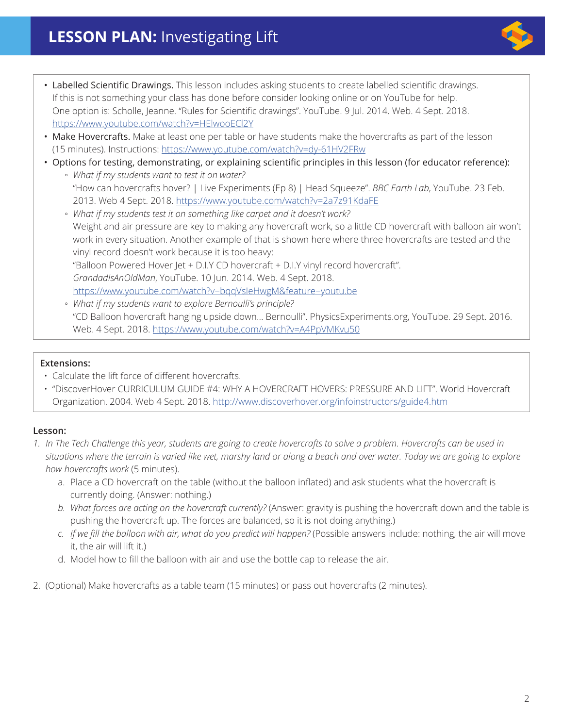- Labelled Scientific Drawings. This lesson includes asking students to create labelled scientific drawings. If this is not something your class has done before consider looking online or on YouTube for help. One option is: Scholle, Jeanne. "Rules for Scientific drawings". YouTube. 9 Jul. 2014. Web. 4 Sept. 2018. <https://www.youtube.com/watch?v=HElwooECl2Y>
- Make Hovercrafts. Make at least one per table or have students make the hovercrafts as part of the lesson (15 minutes). Instructions: <https://www.youtube.com/watch?v=dy-61HV2FRw>
- Options for testing, demonstrating, or explaining scientific principles in this lesson (for educator reference):
	- *What if my students want to test it on water?* "How can hovercrafts hover? | Live Experiments (Ep 8) | Head Squeeze". *BBC Earth Lab*, YouTube. 23 Feb. 2013. Web 4 Sept. 2018. <https://www.youtube.com/watch?v=2a7z91KdaFE>
	- *What if my students test it on something like carpet and it doesn't work?*  Weight and air pressure are key to making any hovercraft work, so a little CD hovercraft with balloon air won't work in every situation. Another example of that is shown here where three hovercrafts are tested and the vinyl record doesn't work because it is too heavy: "Balloon Powered Hover Jet + D.I.Y CD hovercraft + D.I.Y vinyl record hovercraft". *GrandadIsAnOldMan*, YouTube. 10 Jun. 2014. Web. 4 Sept. 2018. <https://www.youtube.com/watch?v=bqqVsIeHwgM&feature=youtu.be>
	- *What if my students want to explore Bernoulli's principle?* "CD Balloon hovercraft hanging upside down... Bernoulli". PhysicsExperiments.org, YouTube. 29 Sept. 2016. Web. 4 Sept. 2018.<https://www.youtube.com/watch?v=A4PpVMKvu50>

## **Extensions:**

- Calculate the lift force of different hovercrafts.
- "DiscoverHover CURRICULUM GUIDE #4: WHY A HOVERCRAFT HOVERS: PRESSURE AND LIFT". World Hovercraft Organization. 2004. Web 4 Sept. 2018. <http://www.discoverhover.org/infoinstructors/guide4.htm>

## **Lesson:**

- *1. In The Tech Challenge this year, students are going to create hovercrafts to solve a problem. Hovercrafts can be used in situations where the terrain is varied like wet, marshy land or along a beach and over water. Today we are going to explore how hovercrafts work* (5 minutes).
	- a. Place a CD hovercraft on the table (without the balloon inflated) and ask students what the hovercraft is currently doing. (Answer: nothing.)
	- *b. What forces are acting on the hovercraft currently?* (Answer: gravity is pushing the hovercraft down and the table is pushing the hovercraft up. The forces are balanced, so it is not doing anything.)
	- *c. If we fill the balloon with air, what do you predict will happen?* (Possible answers include: nothing, the air will move it, the air will lift it.)
	- d. Model how to fill the balloon with air and use the bottle cap to release the air.
- 2. (Optional) Make hovercrafts as a table team (15 minutes) or pass out hovercrafts (2 minutes).